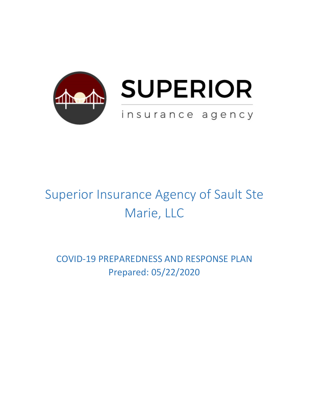



# Superior Insurance Agency of Sault Ste Marie, LLC

COVID‐19 PREPAREDNESS AND RESPONSE PLAN Prepared: 05/22/2020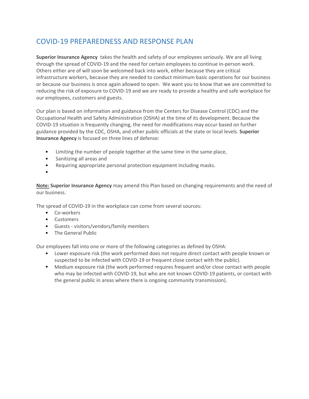## COVID‐19 PREPAREDNESS AND RESPONSE PLAN

**Superior Insurance Agency** takes the health and safety of our employees seriously. We are all living through the spread of COVID‐19 and the need for certain employees to continue in‐person work. Others either are of will soon be welcomed back into work, either because they are critical infrastructure workers, because they are needed to conduct minimum basic operations for our business or because our business is once again allowed to open. We want you to know that we are committed to reducing the risk of exposure to COVID‐19 and we are ready to provide a healthy and safe workplace for our employees, customers and guests.

Our plan is based on information and guidance from the Centers for Disease Control (CDC) and the Occupational Health and Safety Administration (OSHA) at the time of its development. Because the COVID‐19 situation is frequently changing, the need for modifications may occur based on further guidance provided by the CDC, OSHA, and other public officials at the state or local levels. **Superior Insurance Agency** is focused on three lines of defense:

- Limiting the number of people together at the same time in the same place,
- Sanitizing all areas and
- Requiring appropriate personal protection equipment including masks.
- •

**Note: Superior Insurance Agency** may amend this Plan based on changing requirements and the need of our business.

The spread of COVID‐19 in the workplace can come from several sources:

- Co-workers
- Customers
- Guests ‐ visitors/vendors/family members
- The General Public

Our employees fall into one or more of the following categories as defined by OSHA:

- Lower exposure risk (the work performed does not require direct contact with people known or suspected to be infected with COVID‐19 or frequent close contact with the public).
- Medium exposure risk (the work performed requires frequent and/or close contact with people who may be infected with COVID‐19, but who are not known COVID‐19 patients, or contact with the general public in areas where there is ongoing community transmission).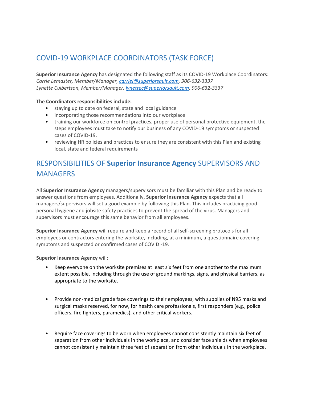## COVID‐19 WORKPLACE COORDINATORS (TASK FORCE)

**Superior Insurance Agency** has designated the following staff as its COVID‐19 Workplace Coordinators: *Carrie Lemaster, Member/Manager, carriel@superiorsault.com, 906‐632‐3337 Lynette Culbertson, Member/Manager, lynettec@superiorsault.com, 906‐632‐3337*

#### **The Coordinators responsibilities include:**

- staying up to date on federal, state and local guidance
- incorporating those recommendations into our workplace
- training our workforce on control practices, proper use of personal protective equipment, the steps employees must take to notify our business of any COVID‐19 symptoms or suspected cases of COVID‐19.
- reviewing HR policies and practices to ensure they are consistent with this Plan and existing local, state and federal requirements

## RESPONSIBILITIES OF **Superior Insurance Agency** SUPERVISORS AND MANAGERS

All **Superior Insurance Agency** managers/supervisors must be familiar with this Plan and be ready to answer questions from employees. Additionally, **Superior Insurance Agency** expects that all managers/supervisors will set a good example by following this Plan. This includes practicing good personal hygiene and jobsite safety practices to prevent the spread of the virus. Managers and supervisors must encourage this same behavior from all employees.

**Superior Insurance Agency** will require and keep a record of all self‐screening protocols for all employees or contractors entering the worksite, including, at a minimum, a questionnaire covering symptoms and suspected or confirmed cases of COVID ‐19.

**Superior Insurance Agency** will:

- Keep everyone on the worksite premises at least six feet from one another to the maximum extent possible, including through the use of ground markings, signs, and physical barriers, as appropriate to the worksite.
- Provide non-medical grade face coverings to their employees, with supplies of N95 masks and surgical masks reserved, for now, for health care professionals, first responders (e.g., police officers, fire fighters, paramedics), and other critical workers.
- Require face coverings to be worn when employees cannot consistently maintain six feet of separation from other individuals in the workplace, and consider face shields when employees cannot consistently maintain three feet of separation from other individuals in the workplace.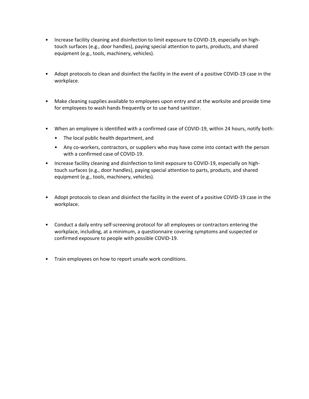- Increase facility cleaning and disinfection to limit exposure to COVID-19, especially on hightouch surfaces (e.g., door handles), paying special attention to parts, products, and shared equipment (e.g., tools, machinery, vehicles).
- Adopt protocols to clean and disinfect the facility in the event of a positive COVID-19 case in the workplace.
- Make cleaning supplies available to employees upon entry and at the worksite and provide time for employees to wash hands frequently or to use hand sanitizer.
- When an employee is identified with a confirmed case of COVID-19, within 24 hours, notify both:
	- The local public health department, and
	- Any co-workers, contractors, or suppliers who may have come into contact with the person with a confirmed case of COVID‐19.
- Increase facility cleaning and disinfection to limit exposure to COVID-19, especially on hightouch surfaces (e.g., door handles), paying special attention to parts, products, and shared equipment (e.g., tools, machinery, vehicles).
- Adopt protocols to clean and disinfect the facility in the event of a positive COVID-19 case in the workplace.
- Conduct a daily entry self-screening protocol for all employees or contractors entering the workplace, including, at a minimum, a questionnaire covering symptoms and suspected or confirmed exposure to people with possible COVID‐19.
- Train employees on how to report unsafe work conditions.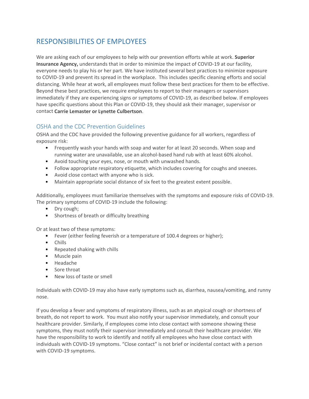## RESPONSIBILITIES OF EMPLOYEES

We are asking each of our employees to help with our prevention efforts while at work. **Superior Insurance Agency,** understands that in order to minimize the impact of COVID‐19 at our facility, everyone needs to play his or her part. We have instituted several best practices to minimize exposure to COVID‐19 and prevent its spread in the workplace. This includes specific cleaning efforts and social distancing. While hear at work, all employees must follow these best practices for them to be effective. Beyond these best practices, we require employees to report to their managers or supervisors immediately if they are experiencing signs or symptoms of COVID‐19, as described below. If employees have specific questions about this Plan or COVID-19, they should ask their manager, supervisor or contact **Carrie Lemaster or Lynette Culbertson**.

#### OSHA and the CDC Prevention Guidelines

OSHA and the CDC have provided the following preventive guidance for all workers, regardless of exposure risk:

- Frequently wash your hands with soap and water for at least 20 seconds. When soap and running water are unavailable, use an alcohol‐based hand rub with at least 60% alcohol.
- Avoid touching your eyes, nose, or mouth with unwashed hands.
- Follow appropriate respiratory etiquette, which includes covering for coughs and sneezes.
- Avoid close contact with anyone who is sick.
- Maintain appropriate social distance of six feet to the greatest extent possible.

Additionally, employees must familiarize themselves with the symptoms and exposure risks of COVID‐19. The primary symptoms of COVID‐19 include the following:

- Dry cough;
- Shortness of breath or difficulty breathing

Or at least two of these symptoms:

- Fever (either feeling feverish or a temperature of 100.4 degrees or higher);
- Chills
- Repeated shaking with chills
- Muscle pain
- Headache
- Sore throat
- New loss of taste or smell

Individuals with COVID‐19 may also have early symptoms such as, diarrhea, nausea/vomiting, and runny nose.

If you develop a fever and symptoms of respiratory illness, such as an atypical cough or shortness of breath, do not report to work. You must also notify your supervisor immediately, and consult your healthcare provider. Similarly, if employees come into close contact with someone showing these symptoms, they must notify their supervisor immediately and consult their healthcare provider. We have the responsibility to work to identify and notify all employees who have close contact with individuals with COVID‐19 symptoms. "Close contact" is not brief or incidental contact with a person with COVID‐19 symptoms.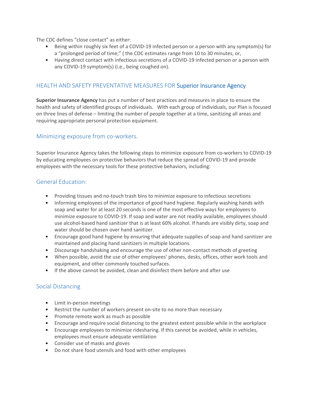The CDC defines "close contact" as either:

- Being within roughly six feet of a COVID-19 infected person or a person with any symptom(s) for a "prolonged period of time;" ( the CDC estimates range from 10 to 30 minutes, or,
- Having direct contact with infectious secretions of a COVID-19 infected person or a person with any COVID‐19 symptom(s) (i.e., being coughed on).

#### HEALTH AND SAFETY PREVENTATIVE MEASURES FOR Superior Insurance Agency

**Superior Insurance Agency** has put a number of best practices and measures in place to ensure the health and safety of identified groups of individuals. With each group of individuals, our Plan is focused on three lines of defense – limiting the number of people together at a time, sanitizing all areas and requiring appropriate personal protection equipment.

#### Minimizing exposure from co-workers.

Superior Insurance Agency takes the following steps to minimize exposure from co-workers to COVID-19 by educating employees on protective behaviors that reduce the spread of COVID‐19 and provide employees with the necessary tools for these protective behaviors, including:

#### General Education:

- Providing tissues and no-touch trash bins to minimize exposure to infectious secretions
- Informing employees of the importance of good hand hygiene. Regularly washing hands with soap and water for at least 20 seconds is one of the most effective ways for employees to minimize exposure to COVID‐19. If soap and water are not readily available, employees should use alcohol-based hand sanitizer that is at least 60% alcohol. If hands are visibly dirty, soap and water should be chosen over hand sanitizer.
- Encourage good hand hygiene by ensuring that adequate supplies of soap and hand sanitizer are maintained and placing hand sanitizers in multiple locations.
- Discourage handshaking and encourage the use of other non-contact methods of greeting
- When possible, avoid the use of other employees' phones, desks, offices, other work tools and equipment, and other commonly touched surfaces.
- If the above cannot be avoided, clean and disinfect them before and after use

#### Social Distancing

- Limit in‐person meetings
- Restrict the number of workers present on-site to no more than necessary
- Promote remote work as much as possible
- Encourage and require social distancing to the greatest extent possible while in the workplace
- Encourage employees to minimize ridesharing. If this cannot be avoided, while in vehicles, employees must ensure adequate ventilation
- Consider use of masks and gloves
- Do not share food utensils and food with other employees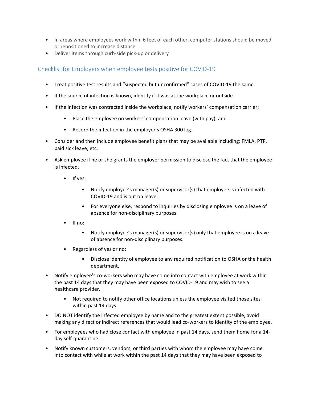- In areas where employees work within 6 feet of each other, computer stations should be moved or repositioned to increase distance
- Deliver items through curb‐side pick‐up or delivery

#### Checklist for Employers when employee tests positive for COVID‐19

- Treat positive test results and "suspected but unconfirmed" cases of COVID-19 the same.
- If the source of infection is known, identify if it was at the workplace or outside.
- If the infection was contracted inside the workplace, notify workers' compensation carrier;
	- Place the employee on workers' compensation leave (with pay); and
	- Record the infection in the employer's OSHA 300 log.
- Consider and then include employee benefit plans that may be available including: FMLA, PTP, paid sick leave, etc.
- Ask employee if he or she grants the employer permission to disclose the fact that the employee is infected.
	- If yes:
		- Notify employee's manager(s) or supervisor(s) that employee is infected with COVID‐19 and is out on leave.
		- For everyone else, respond to inquiries by disclosing employee is on a leave of absence for non‐disciplinary purposes.
	- If no:
		- Notify employee's manager(s) or supervisor(s) only that employee is on a leave of absence for non‐disciplinary purposes.
	- Regardless of yes or no:
		- Disclose identity of employee to any required notification to OSHA or the health department.
- Notify employee's co-workers who may have come into contact with employee at work within the past 14 days that they may have been exposed to COVID‐19 and may wish to see a healthcare provider.
	- Not required to notify other office locations unless the employee visited those sites within past 14 days.
- DO NOT identify the infected employee by name and to the greatest extent possible, avoid making any direct or indirect references that would lead co‐workers to identity of the employee.
- For employees who had close contact with employee in past 14 days, send them home for a 14day self‐quarantine.
- Notify known customers, vendors, or third parties with whom the employee may have come into contact with while at work within the past 14 days that they may have been exposed to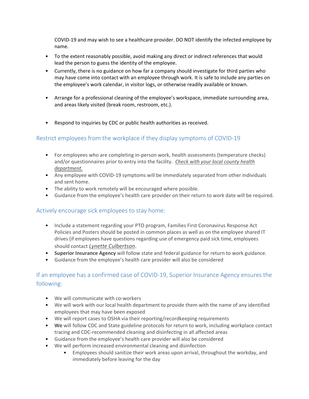COVID‐19 and may wish to see a healthcare provider. DO NOT identify the infected employee by name.

- To the extent reasonably possible, avoid making any direct or indirect references that would lead the person to guess the identity of the employee.
- Currently, there is no guidance on how far a company should investigate for third parties who may have come into contact with an employee through work. It is safe to include any parties on the employee's work calendar, in visitor logs, or otherwise readily available or known.
- Arrange for a professional cleaning of the employee's workspace, immediate surrounding area, and areas likely visited (break room, restroom, etc.).
- Respond to inquiries by CDC or public health authorities as received.

#### Restrict employees from the workplace if they display symptoms of COVID‐19

- For employees who are completing in-person work, health assessments (temperature checks) and/or questionnaires prior to entry into the facility. *Check with your local county health department.*
- Any employee with COVID-19 symptoms will be immediately separated from other individuals and sent home.
- The ability to work remotely will be encouraged where possible.
- Guidance from the employee's health care provider on their return to work date will be required.

#### Actively encourage sick employees to stay home:

- Include a statement regarding your PTO program, Families First Coronavirus Response Act Policies and Posters should be posted in common places as well as on the employee shared IT drives (if employees have questions regarding use of emergency paid sick time, employees should contact *Lynette Culbertson*.
- **Superior Insurance Agency** will follow state and federal guidance for return to work guidance.
- Guidance from the employee's health care provider will also be considered

### If an employee has a confirmed case of COVID‐19, Superior Insurance Agency ensures the following:

- We will communicate with co-workers
- We will work with our local health department to provide them with the name of any identified employees that may have been exposed
- We will report cases to OSHA via their reporting/recordkeeping requirements
- **We** will follow CDC and State guideline protocols for return to work, including workplace contact tracing and CDC‐recommended cleaning and disinfecting in all affected areas
- Guidance from the employee's health care provider will also be considered
- We will perform increased environmental cleaning and disinfection
	- Employees should sanitize their work areas upon arrival, throughout the workday, and immediately before leaving for the day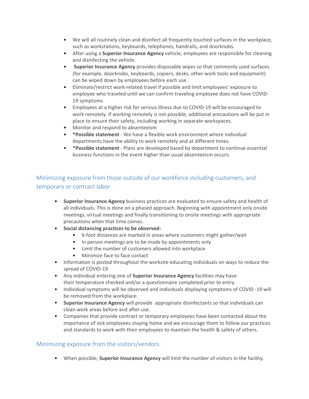- We will all routinely clean and disinfect all frequently touched surfaces in the workplace, such as workstations, keyboards, telephones, handrails, and doorknobs.
- After using a **Superior Insurance Agency** vehicle, employees are responsible for cleaning and disinfecting the vehicle.
- **Superior Insurance Agency** provides disposable wipes so that commonly used surfaces (for example, doorknobs, keyboards, copiers, desks, other work tools and equipment) can be wiped down by employees before each use.
- Eliminate/restrict work‐related travel if possible and limit employees' exposure to employee who traveled until we can confirm traveling employee does not have COVID‐ 19 symptoms
- Employees at a higher risk for serious illness due to COVID-19 will be encouraged to work remotely. If working remotely is not possible, additional precautions will be put in place to ensure their safety, including working in separate workspaces.
- Monitor and respond to absenteeism
- **\*Possible statement** ‐ We have a flexible work environment where individual departments have the ability to work remotely and at different times.
- **\*Possible statement** ‐ Plans are developed based by department to continue essential business functions in the event higher than usual absenteeism occurs.

#### Minimizing exposure from those outside of our workforce including customers, and temporary or contract labor

- **Superior Insurance Agency** business practices are evaluated to ensure safety and health of all individuals. This is done on a phased approach. Beginning with appointment only onsite meetings, virtual meetings and finally transitioning to onsite meetings with appropriate precautions when that time comes.
- **Social distancing practices to be observed:** 
	- 6‐foot distances are marked in areas where customers might gather/wait
	- In person meetings are to be made by appointments only
	- Limit the number of customers allowed into workplace
	- Minimize face to face contact
- Information is posted throughout the worksite educating individuals on ways to reduce the spread of COVID‐19
- Any individual entering one of **Superior Insurance Agency** facilities may have their temperature checked and/or a questionnaire completed prior to entry.
- Individual symptoms will be observed and individuals displaying symptoms of COVID ‐19 will be removed from the workplace.
- **Superior Insurance Agency** will provide appropriate disinfectants so that individuals can clean work areas before and after use.
- Companies that provide contract or temporary employees have been contacted about the importance of sick employees staying home and we encourage them to follow our practices and standards to work with their employees to maintain the health & safety of others.

#### Minimizing exposure from the visitors/vendors

• When possible, **Superior Insurance Agency** will limit the number of visitors in the facility.